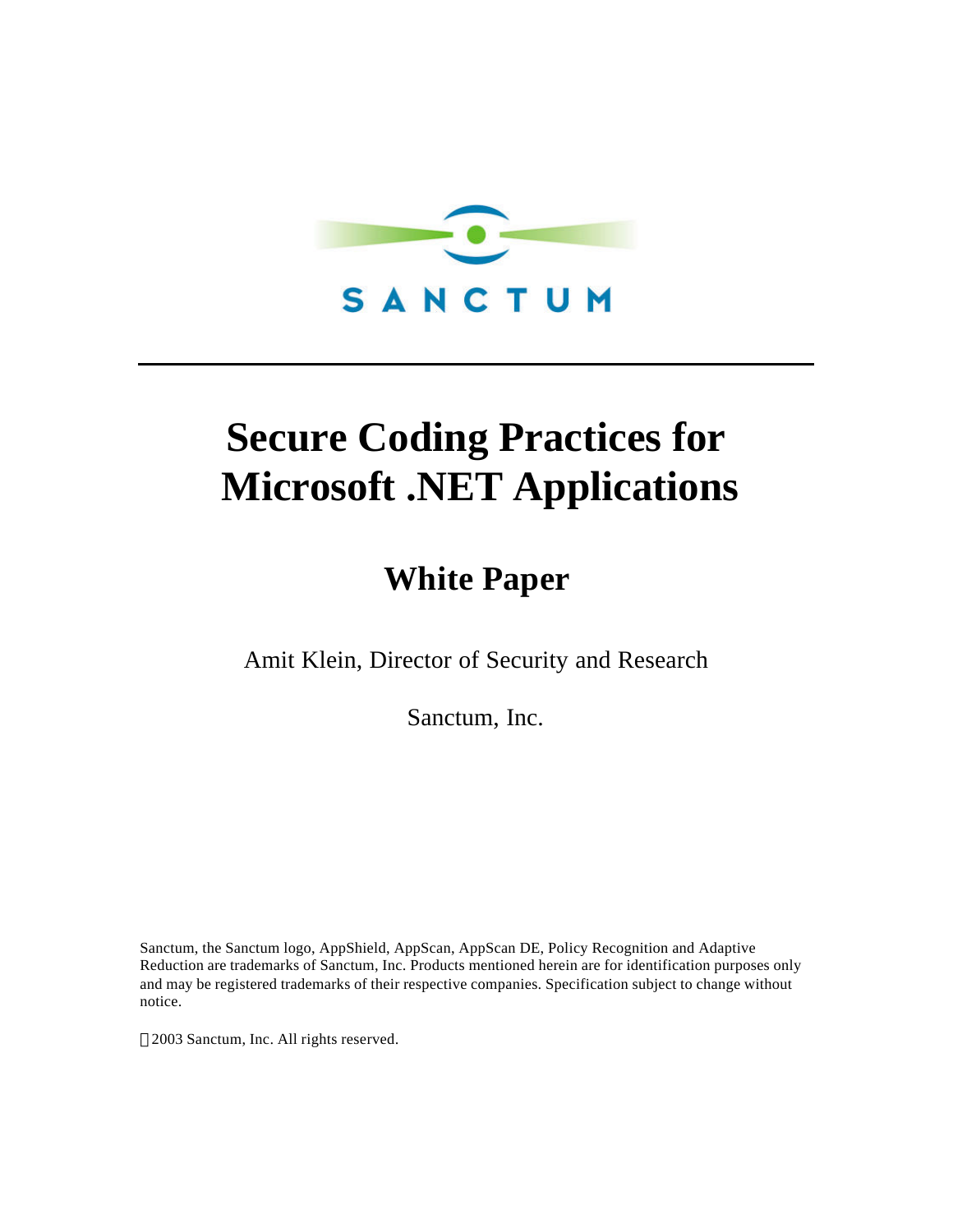

# **Secure Coding Practices for Microsoft .NET Applications**

## **White Paper**

Amit Klein, Director of Security and Research

Sanctum, Inc.

Sanctum, the Sanctum logo, AppShield, AppScan, AppScan DE, Policy Recognition and Adaptive Reduction are trademarks of Sanctum, Inc. Products mentioned herein are for identification purposes only and may be registered trademarks of their respective companies. Specification subject to change without notice.

2003 Sanctum, Inc. All rights reserved.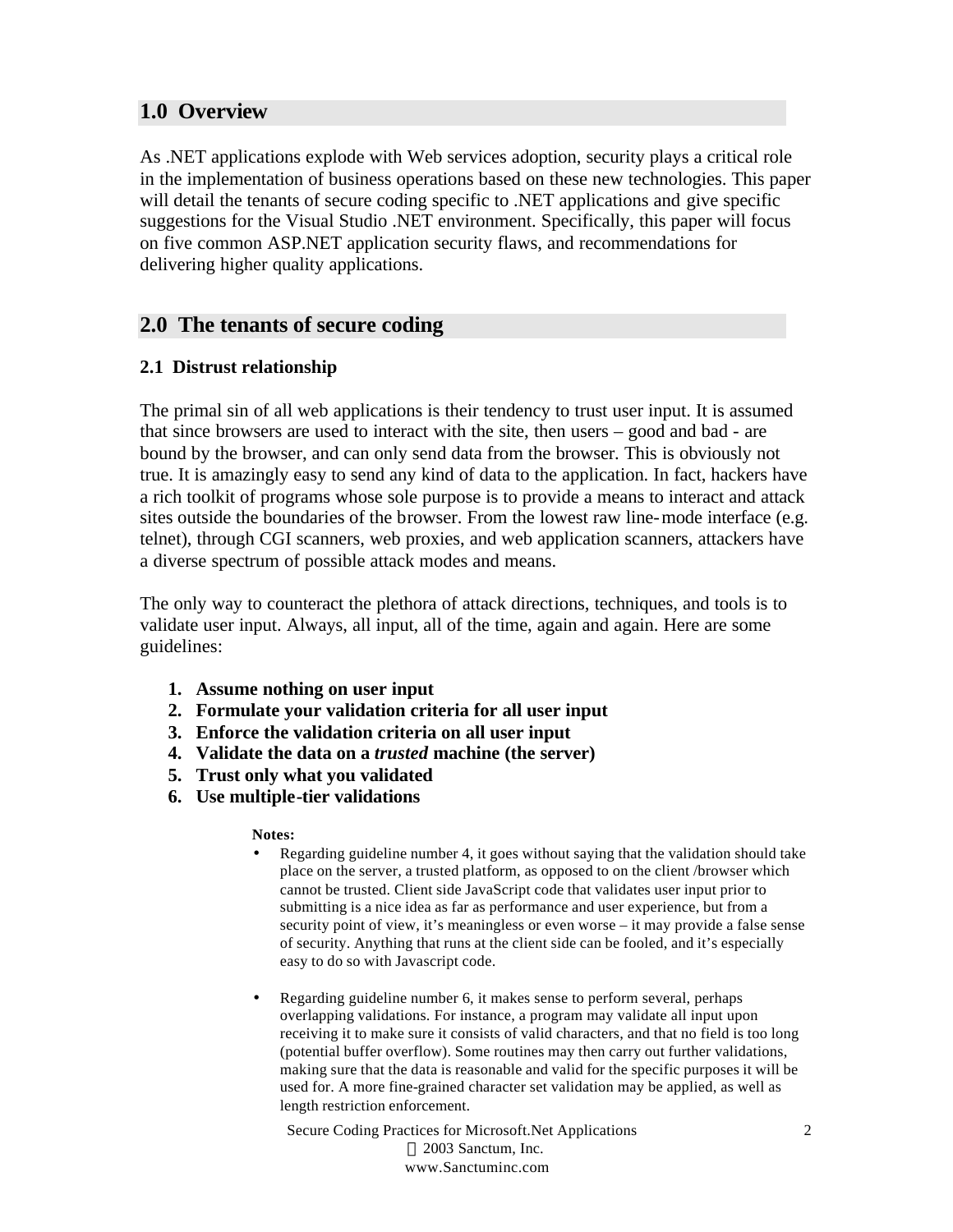## **1.0 Overview**

As .NET applications explode with Web services adoption, security plays a critical role in the implementation of business operations based on these new technologies. This paper will detail the tenants of secure coding specific to .NET applications and give specific suggestions for the Visual Studio .NET environment. Specifically, this paper will focus on five common ASP.NET application security flaws, and recommendations for delivering higher quality applications.

## **2.0 The tenants of secure coding**

## **2.1 Distrust relationship**

The primal sin of all web applications is their tendency to trust user input. It is assumed that since browsers are used to interact with the site, then users – good and bad - are bound by the browser, and can only send data from the browser. This is obviously not true. It is amazingly easy to send any kind of data to the application. In fact, hackers have a rich toolkit of programs whose sole purpose is to provide a means to interact and attack sites outside the boundaries of the browser. From the lowest raw line-mode interface (e.g. telnet), through CGI scanners, web proxies, and web application scanners, attackers have a diverse spectrum of possible attack modes and means.

The only way to counteract the plethora of attack directions, techniques, and tools is to validate user input. Always, all input, all of the time, again and again. Here are some guidelines:

- **1. Assume nothing on user input**
- **2. Formulate your validation criteria for all user input**
- **3. Enforce the validation criteria on all user input**
- **4. Validate the data on a** *trusted* **machine (the server)**
- **5. Trust only what you validated**
- **6. Use multiple-tier validations**

## **Notes:**

- Regarding guideline number 4, it goes without saying that the validation should take place on the server, a trusted platform, as opposed to on the client /browser which cannot be trusted. Client side JavaScript code that validates user input prior to submitting is a nice idea as far as performance and user experience, but from a security point of view, it's meaningless or even worse – it may provide a false sense of security. Anything that runs at the client side can be fooled, and it's especially easy to do so with Javascript code.
- Regarding guideline number 6, it makes sense to perform several, perhaps overlapping validations. For instance, a program may validate all input upon receiving it to make sure it consists of valid characters, and that no field is too long (potential buffer overflow). Some routines may then carry out further validations, making sure that the data is reasonable and valid for the specific purposes it will be used for. A more fine-grained character set validation may be applied, as well as length restriction enforcement.

Secure Coding Practices for Microsoft.Net Applications 2003 Sanctum, Inc. www.Sanctuminc.com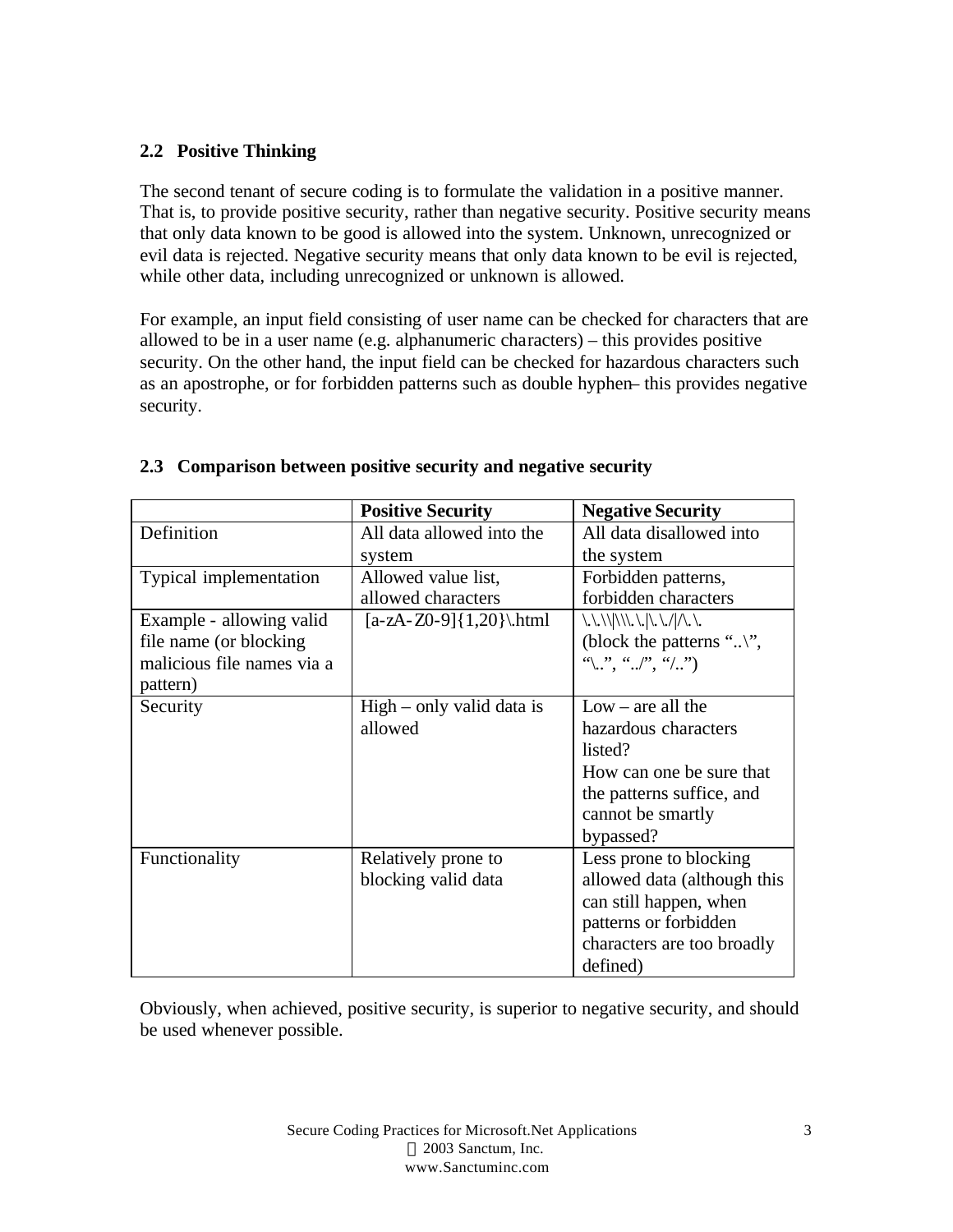## **2.2 Positive Thinking**

The second tenant of secure coding is to formulate the validation in a positive manner. That is, to provide positive security, rather than negative security. Positive security means that only data known to be good is allowed into the system. Unknown, unrecognized or evil data is rejected. Negative security means that only data known to be evil is rejected, while other data, including unrecognized or unknown is allowed.

For example, an input field consisting of user name can be checked for characters that are allowed to be in a user name (e.g. alphanumeric characters) – this provides positive security. On the other hand, the input field can be checked for hazardous characters such as an apostrophe, or for forbidden patterns such as double hyphen– this provides negative security.

|                            | <b>Positive Security</b>    | <b>Negative Security</b>                                 |
|----------------------------|-----------------------------|----------------------------------------------------------|
| Definition                 | All data allowed into the   | All data disallowed into                                 |
|                            | system                      | the system                                               |
| Typical implementation     | Allowed value list,         | Forbidden patterns,                                      |
|                            | allowed characters          | forbidden characters                                     |
| Example - allowing valid   | $[a-zA-Z0-9]{1,20}$ .html   | $\ \ .\  \ \ \  \ .\  \ \ \ .\ .\ .\ /\ .\ .\ $          |
| file name (or blocking     |                             | (block the patterns "",                                  |
| malicious file names via a |                             | $\alpha_1, \ldots, \alpha_n, \alpha_2, \ldots, \alpha_n$ |
| pattern)                   |                             |                                                          |
| Security                   | $High - only valid data is$ | $Low - are all the$                                      |
|                            | allowed                     | hazardous characters                                     |
|                            |                             | listed?                                                  |
|                            |                             | How can one be sure that                                 |
|                            |                             | the patterns suffice, and                                |
|                            |                             | cannot be smartly                                        |
|                            |                             | bypassed?                                                |
| Functionality              | Relatively prone to         | Less prone to blocking                                   |
|                            | blocking valid data         | allowed data (although this                              |
|                            |                             | can still happen, when                                   |
|                            |                             | patterns or forbidden                                    |
|                            |                             | characters are too broadly                               |
|                            |                             | defined)                                                 |

## **2.3 Comparison between positive security and negative security**

Obviously, when achieved, positive security, is superior to negative security, and should be used whenever possible.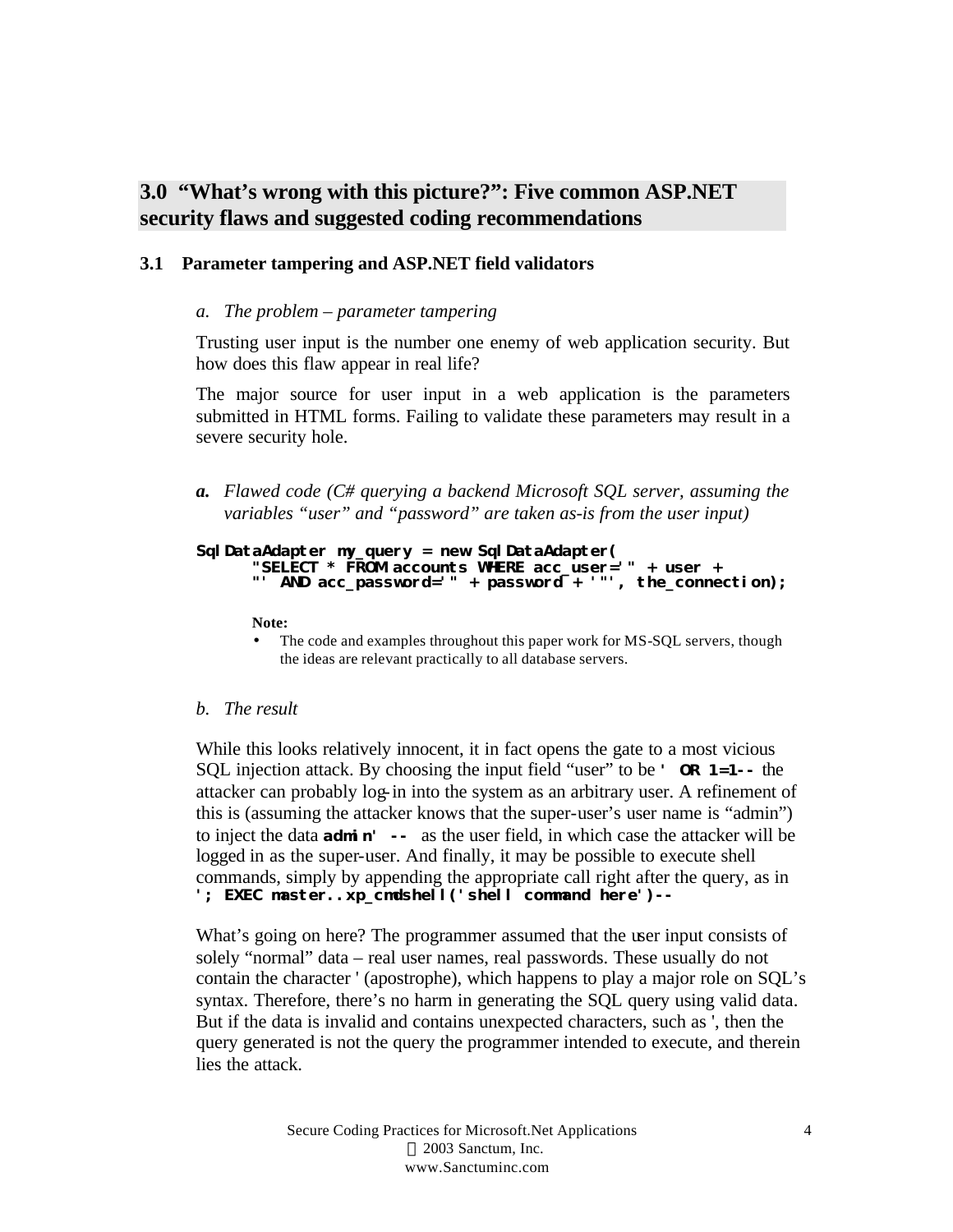## **3.0 "What's wrong with this picture?": Five common ASP.NET security flaws and suggested coding recommendations**

## **3.1 Parameter tampering and ASP.NET field validators**

## *a. The problem – parameter tampering*

Trusting user input is the number one enemy of web application security. But how does this flaw appear in real life?

The major source for user input in a web application is the parameters submitted in HTML forms. Failing to validate these parameters may result in a severe security hole.

*a. Flawed code (C# querying a backend Microsoft SQL server, assuming the variables "user" and "password" are taken as-is from the user input)*

#### **SqlDataAdapter my\_query = new SqlDataAdapter( "SELECT \* FROM accounts WHERE acc\_user='" + user + "' AND acc\_password='" + password + '"', the\_connection);**

**Note:**

The code and examples throughout this paper work for MS-SQL servers, though the ideas are relevant practically to all database servers.

## *b. The result*

While this looks relatively innocent, it in fact opens the gate to a most vicious SQL injection attack. By choosing the input field "user" to be **' OR 1=1--** the attacker can probably log-in into the system as an arbitrary user. A refinement of this is (assuming the attacker knows that the super-user's user name is "admin") to inject the data **admin' --** as the user field, in which case the attacker will be logged in as the super-user. And finally, it may be possible to execute shell commands, simply by appending the appropriate call right after the query, as in **'; EXEC master..xp\_cmdshell('***shell command here***')--**

What's going on here? The programmer assumed that the user input consists of solely "normal" data – real user names, real passwords. These usually do not contain the character ' (apostrophe), which happens to play a major role on SQL's syntax. Therefore, there's no harm in generating the SQL query using valid data. But if the data is invalid and contains unexpected characters, such as ', then the query generated is not the query the programmer intended to execute, and therein lies the attack.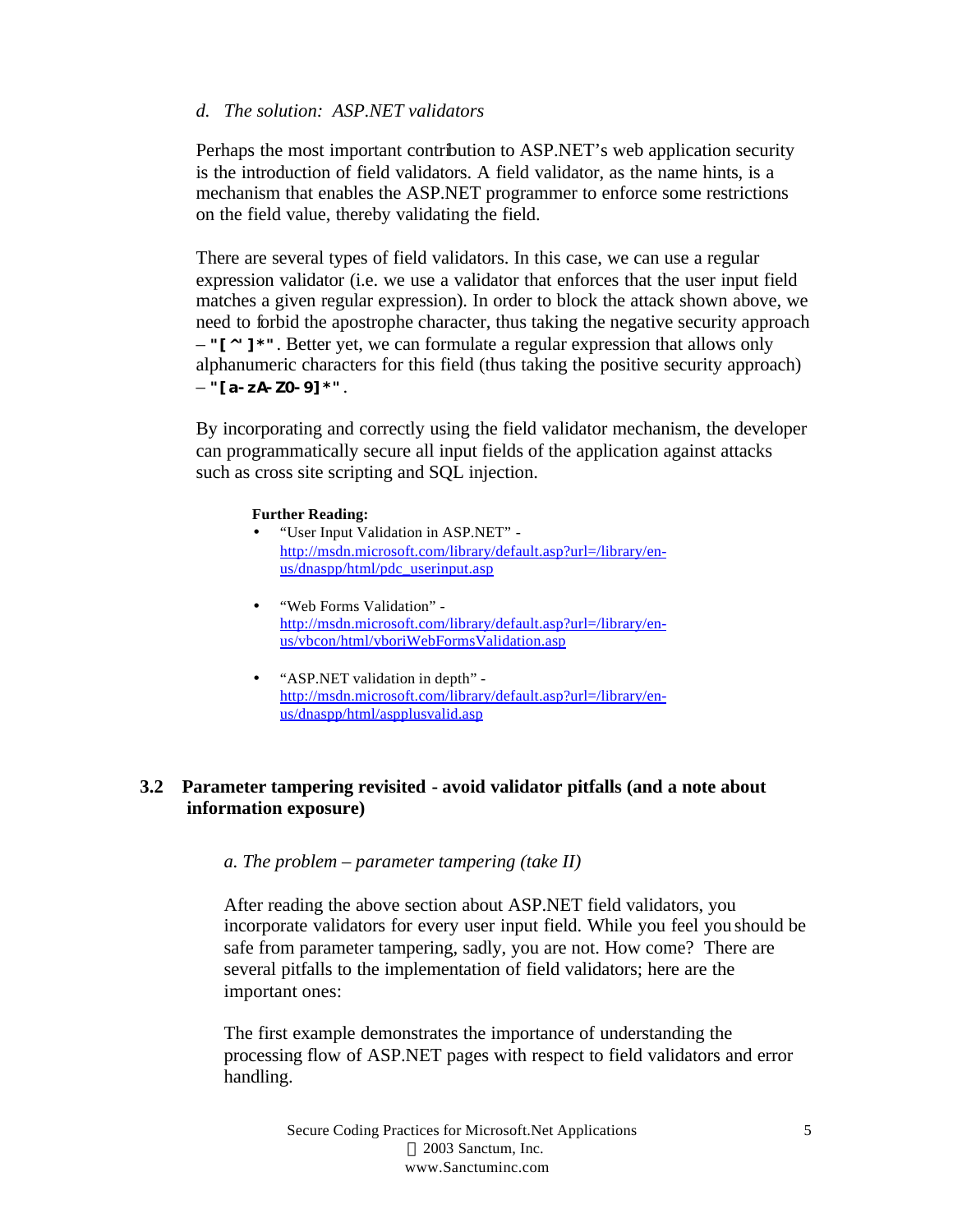## *d. The solution: ASP.NET validators*

Perhaps the most important contribution to ASP.NET's web application security is the introduction of field validators. A field validator, as the name hints, is a mechanism that enables the ASP.NET programmer to enforce some restrictions on the field value, thereby validating the field.

There are several types of field validators. In this case, we can use a regular expression validator (i.e. we use a validator that enforces that the user input field matches a given regular expression). In order to block the attack shown above, we need to forbid the apostrophe character, thus taking the negative security approach – **"[^']\*"**. Better yet, we can formulate a regular expression that allows only alphanumeric characters for this field (thus taking the positive security approach) – **"[a-zA-Z0-9]\*"**.

By incorporating and correctly using the field validator mechanism, the developer can programmatically secure all input fields of the application against attacks such as cross site scripting and SQL injection.

#### **Further Reading:**

- "User Input Validation in ASP.NET" http://msdn.microsoft.com/library/default.asp?url=/library/enus/dnaspp/html/pdc\_userinput.asp
- "Web Forms Validation" http://msdn.microsoft.com/library/default.asp?url=/library/enus/vbcon/html/vboriWebFormsValidation.asp
- "ASP.NET validation in depth" http://msdn.microsoft.com/library/default.asp?url=/library/enus/dnaspp/html/aspplusvalid.asp

## **3.2 Parameter tampering revisited - avoid validator pitfalls (and a note about information exposure)**

## *a. The problem – parameter tampering (take II)*

After reading the above section about ASP.NET field validators, you incorporate validators for every user input field. While you feel you should be safe from parameter tampering, sadly, you are not. How come? There are several pitfalls to the implementation of field validators; here are the important ones:

The first example demonstrates the importance of understanding the processing flow of ASP.NET pages with respect to field validators and error handling.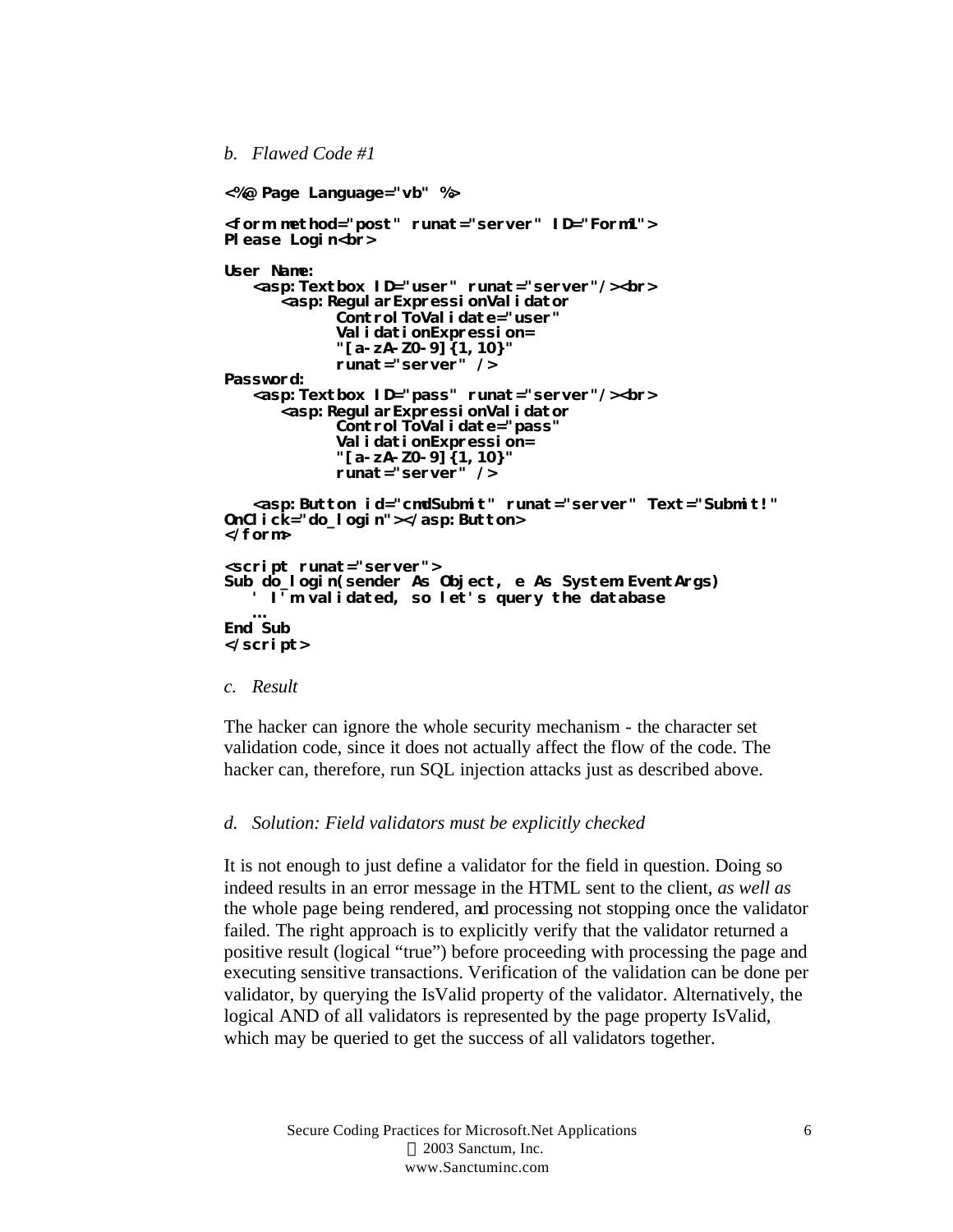### *b. Flawed Code #1*

```
<%@ Page Language="vb" %>
<form method="post" runat="server" ID="Form1">
Please Login<br>
User Name:
   <asp:Textbox ID="user" runat="server"/><br>
      <asp:RegularExpressionValidator 
            ControlToValidate="user" 
            ValidationExpression=
            "[a-zA-Z0-9]{1,10}"
            runat="server" /> 
Password:
   <asp:Textbox ID="pass" runat="server"/><br>
      <asp:RegularExpressionValidator 
            ControlToValidate="pass" 
            ValidationExpression=
            "[a-zA-Z0-9]{1,10}"
            runat="server" /> 
   <asp:Button id="cmdSubmit" runat="server" Text="Submit!" 
OnClick="do_login"></asp:Button>
</form>
<script runat="server">
Sub do_login(sender As Object, e As System EventArgs)
   ' I'm validated, so let's query the database 
   …
End Sub
</script>
```
## *c. Result*

The hacker can ignore the whole security mechanism - the character set validation code, since it does not actually affect the flow of the code. The hacker can, therefore, run SQL injection attacks just as described above.

#### *d. Solution: Field validators must be explicitly checked*

It is not enough to just define a validator for the field in question. Doing so indeed results in an error message in the HTML sent to the client, *as well as*  the whole page being rendered, and processing not stopping once the validator failed. The right approach is to explicitly verify that the validator returned a positive result (logical "true") before proceeding with processing the page and executing sensitive transactions. Verification of the validation can be done per validator, by querying the IsValid property of the validator. Alternatively, the logical AND of all validators is represented by the page property IsValid, which may be queried to get the success of all validators together.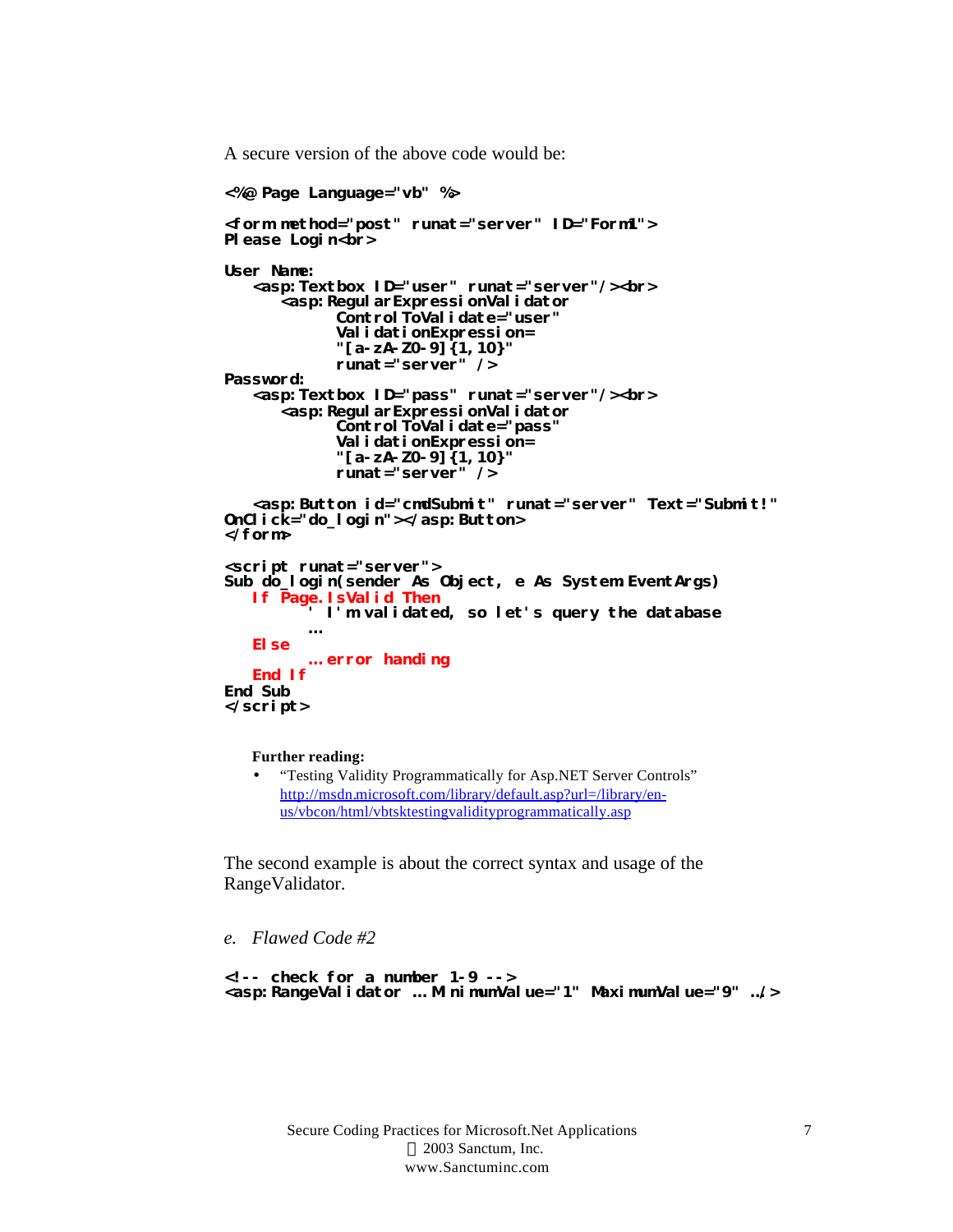A secure version of the above code would be:

```
<%@ Page Language="vb" %>
<form method="post" runat="server" ID="Form1">
Please Login<br>
User Name:
   <asp:Textbox ID="user" runat="server"/><br>
      <asp:RegularExpressionValidator 
            ControlToValidate="user" 
            ValidationExpression=
            "[a-zA-Z0-9]{1,10}"
            runat="server" /> 
Password:
   <asp:Textbox ID="pass" runat="server"/><br>
      <asp:RegularExpressionValidator 
            ControlToValidate="pass" 
            ValidationExpression=
            "[a-zA-Z0-9]{1,10}" 
            runat="server" /> 
   <asp:Button id="cmdSubmit" runat="server" Text="Submit!" 
OnClick="do_login"></asp:Button>
</form>
<script runat="server">
Sub do_login(sender As Object, e As System EventArgs)
   If Page.IsValid Then
         ' I'm validated, so let's query the database 
         …
   Else
         … error handing
   End If
End Sub
</script>
```
**Further reading:**

• "Testing Validity Programmatically for Asp.NET Server Controls" http://msdn.microsoft.com/library/default.asp?url=/library/enus/vbcon/html/vbtsktestingvalidityprogrammatically.asp

The second example is about the correct syntax and usage of the RangeValidator.

*e. Flawed Code #2* 

```
<!-- check for a number 1-9 -->
<asp:RangeValidator … MinimumValue="1" MaximumValue="9" …/>
```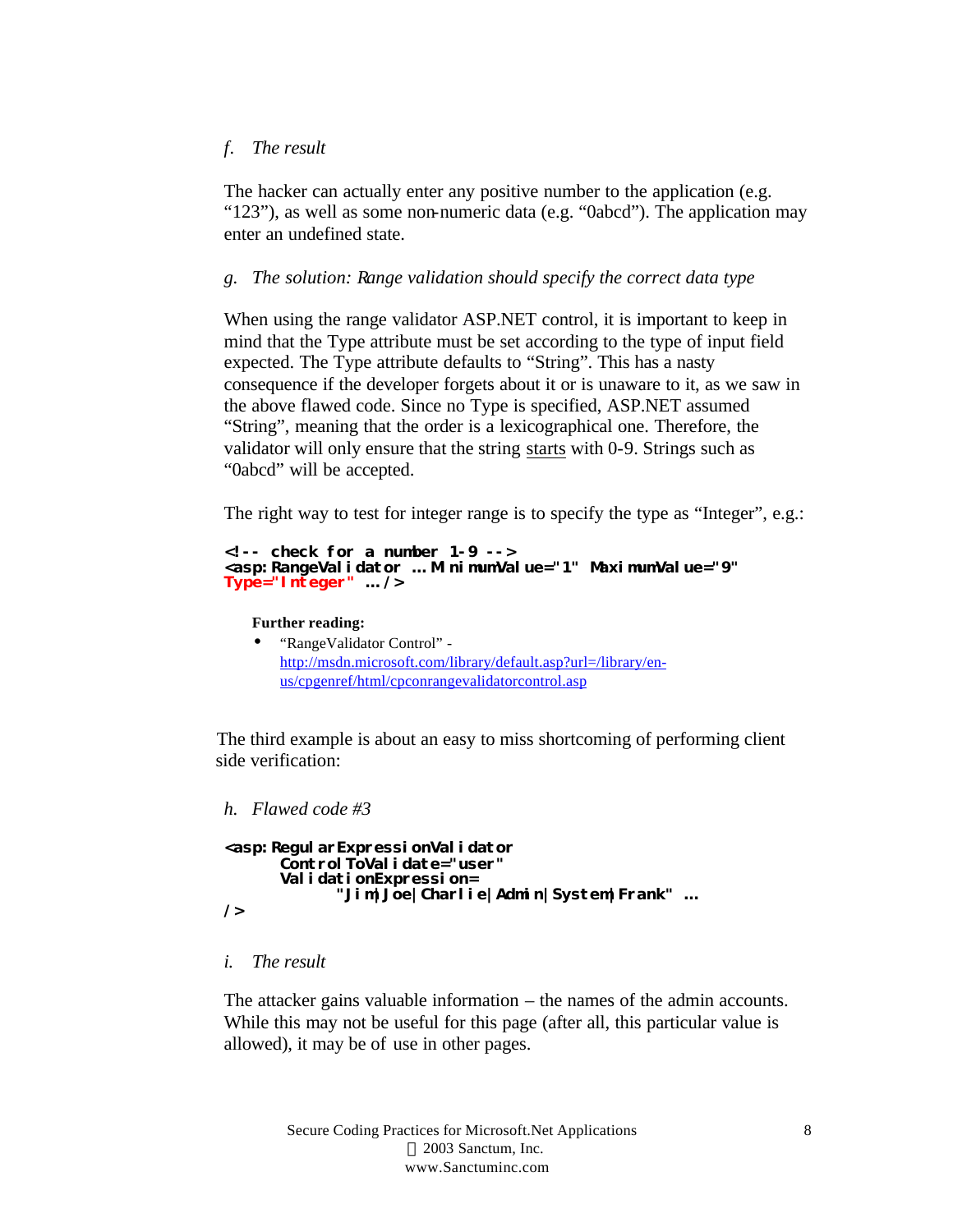## *f. The result*

The hacker can actually enter any positive number to the application (e.g. "123"), as well as some non-numeric data (e.g. "0abcd"). The application may enter an undefined state.

## *g. The solution: Range validation should specify the correct data type*

When using the range validator ASP.NET control, it is important to keep in mind that the Type attribute must be set according to the type of input field expected. The Type attribute defaults to "String". This has a nasty consequence if the developer forgets about it or is unaware to it, as we saw in the above flawed code. Since no Type is specified, ASP.NET assumed "String", meaning that the order is a lexicographical one. Therefore, the validator will only ensure that the string starts with 0-9. Strings such as "0abcd" will be accepted.

The right way to test for integer range is to specify the type as "Integer", e.g.:

```
<!-- check for a number 1-9 -->
<asp:RangeValidator … MinimumValue="1" MaximumValue="9" 
Type="Integer" … />
```
**Further reading:**

• "RangeValidator Control" http://msdn.microsoft.com/library/default.asp?url=/library/enus/cpgenref/html/cpconrangevalidatorcontrol.asp

 The third example is about an easy to miss shortcoming of performing client side verification:

## *h. Flawed code #3*

```
<asp:RegularExpressionValidator 
      ControlToValidate="user" 
      ValidationExpression=
            "Jim|Joe|Charlie|Admin|System|Frank" …
/>
```
## *i. The result*

The attacker gains valuable information – the names of the admin accounts. While this may not be useful for this page (after all, this particular value is allowed), it may be of use in other pages.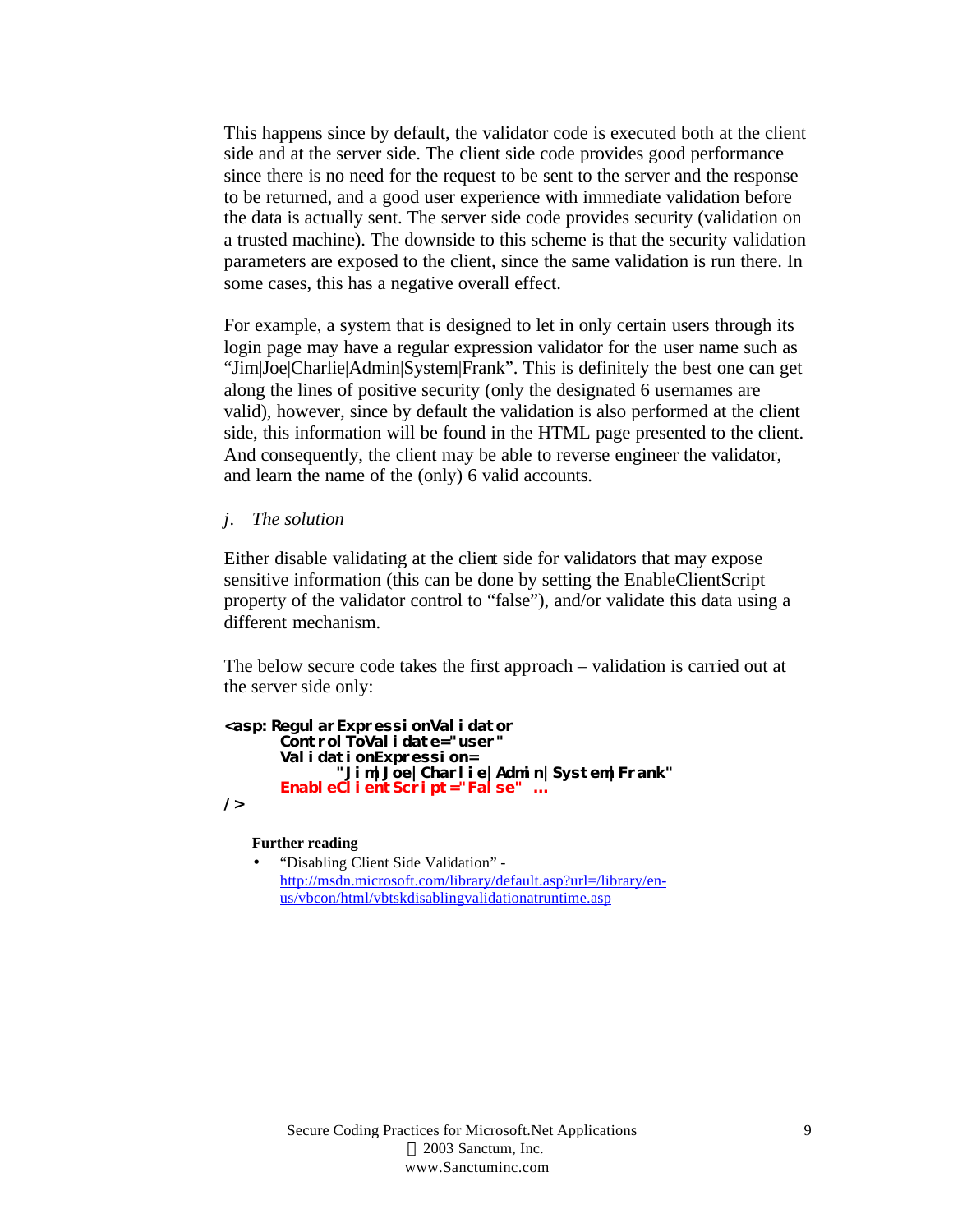This happens since by default, the validator code is executed both at the client side and at the server side. The client side code provides good performance since there is no need for the request to be sent to the server and the response to be returned, and a good user experience with immediate validation before the data is actually sent. The server side code provides security (validation on a trusted machine). The downside to this scheme is that the security validation parameters are exposed to the client, since the same validation is run there. In some cases, this has a negative overall effect.

For example, a system that is designed to let in only certain users through its login page may have a regular expression validator for the user name such as "Jim|Joe|Charlie|Admin|System|Frank". This is definitely the best one can get along the lines of positive security (only the designated 6 usernames are valid), however, since by default the validation is also performed at the client side, this information will be found in the HTML page presented to the client. And consequently, the client may be able to reverse engineer the validator, and learn the name of the (only) 6 valid accounts.

### *j. The solution*

Either disable validating at the client side for validators that may expose sensitive information (this can be done by setting the EnableClientScript property of the validator control to "false"), and/or validate this data using a different mechanism.

The below secure code takes the first approach – validation is carried out at the server side only:

```
<asp:RegularExpressionValidator 
      ControlToValidate="user" 
      ValidationExpression=
            "Jim|Joe|Charlie|Admin|System|Frank" 
      EnableClientScript="False" …
/>
```
**Further reading**

• "Disabling Client Side Validation" http://msdn.microsoft.com/library/default.asp?url=/library/enus/vbcon/html/vbtskdisablingvalidationatruntime.asp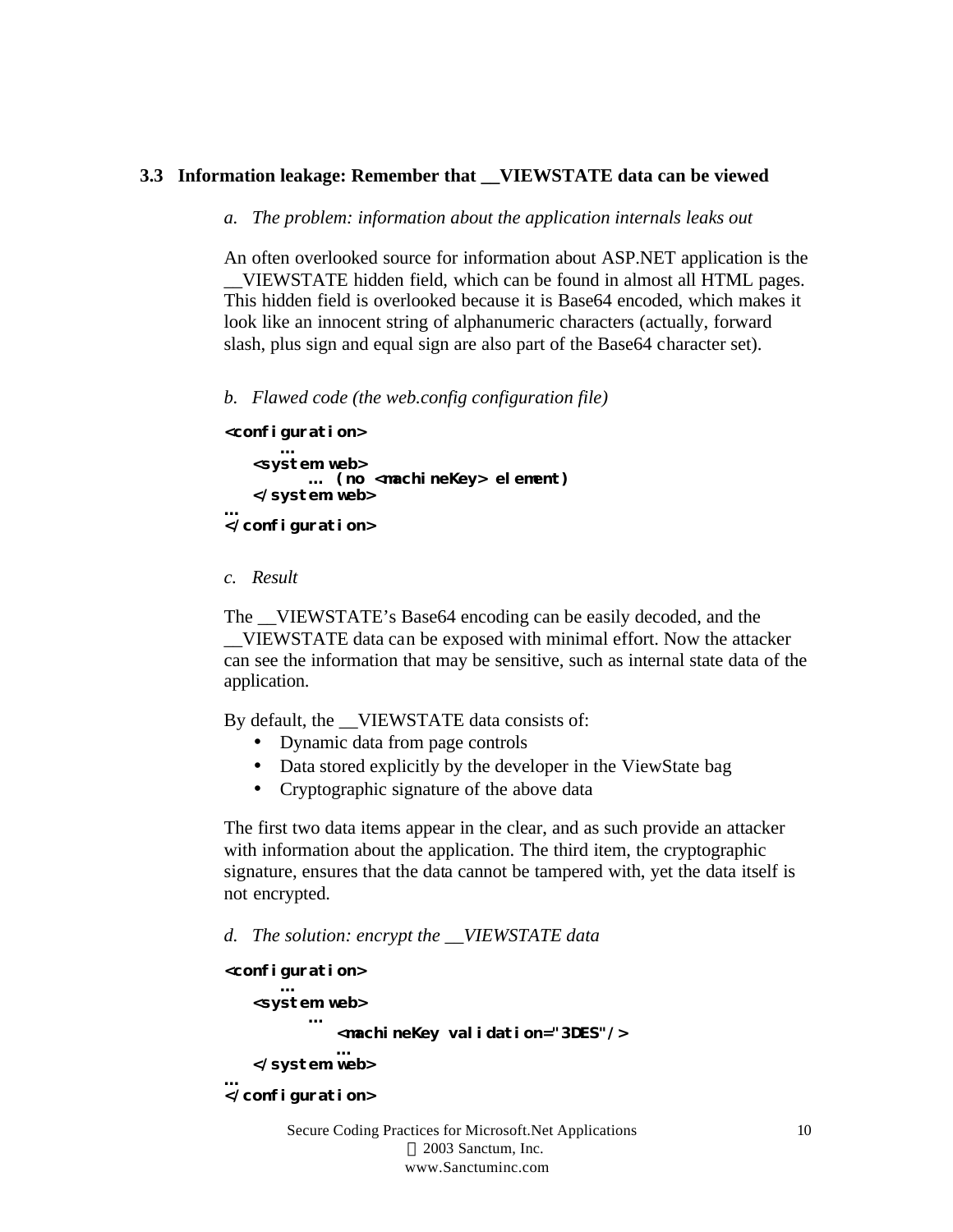## **3.3 Information leakage: Remember that \_\_VIEWSTATE data can be viewed**

### *a. The problem: information about the application internals leaks out*

An often overlooked source for information about ASP.NET application is the \_\_VIEWSTATE hidden field, which can be found in almost all HTML pages. This hidden field is overlooked because it is Base64 encoded, which makes it look like an innocent string of alphanumeric characters (actually, forward slash, plus sign and equal sign are also part of the Base64 character set).

*b. Flawed code (the web.config configuration file)*

```
<configuration>
      …
   <system.web>
        … (no <machineKey> element)
   </system.web>
…
```
#### **</configuration>**

#### *c. Result*

The VIEWSTATE's Base64 encoding can be easily decoded, and the \_\_VIEWSTATE data can be exposed with minimal effort. Now the attacker can see the information that may be sensitive, such as internal state data of the application.

By default, the VIEWSTATE data consists of:

- Dynamic data from page controls
- Data stored explicitly by the developer in the ViewState bag
- Cryptographic signature of the above data

The first two data items appear in the clear, and as such provide an attacker with information about the application. The third item, the cryptographic signature, ensures that the data cannot be tampered with, yet the data itself is not encrypted.

*d. The solution: encrypt the \_\_VIEWSTATE data*

```
<configuration>
      …
   <system.web>
         … 
            <machineKey validation="3DES"/>
             …
   </system.web>
…
</configuration>
```
Secure Coding Practices for Microsoft.Net Applications 2003 Sanctum, Inc. www.Sanctuminc.com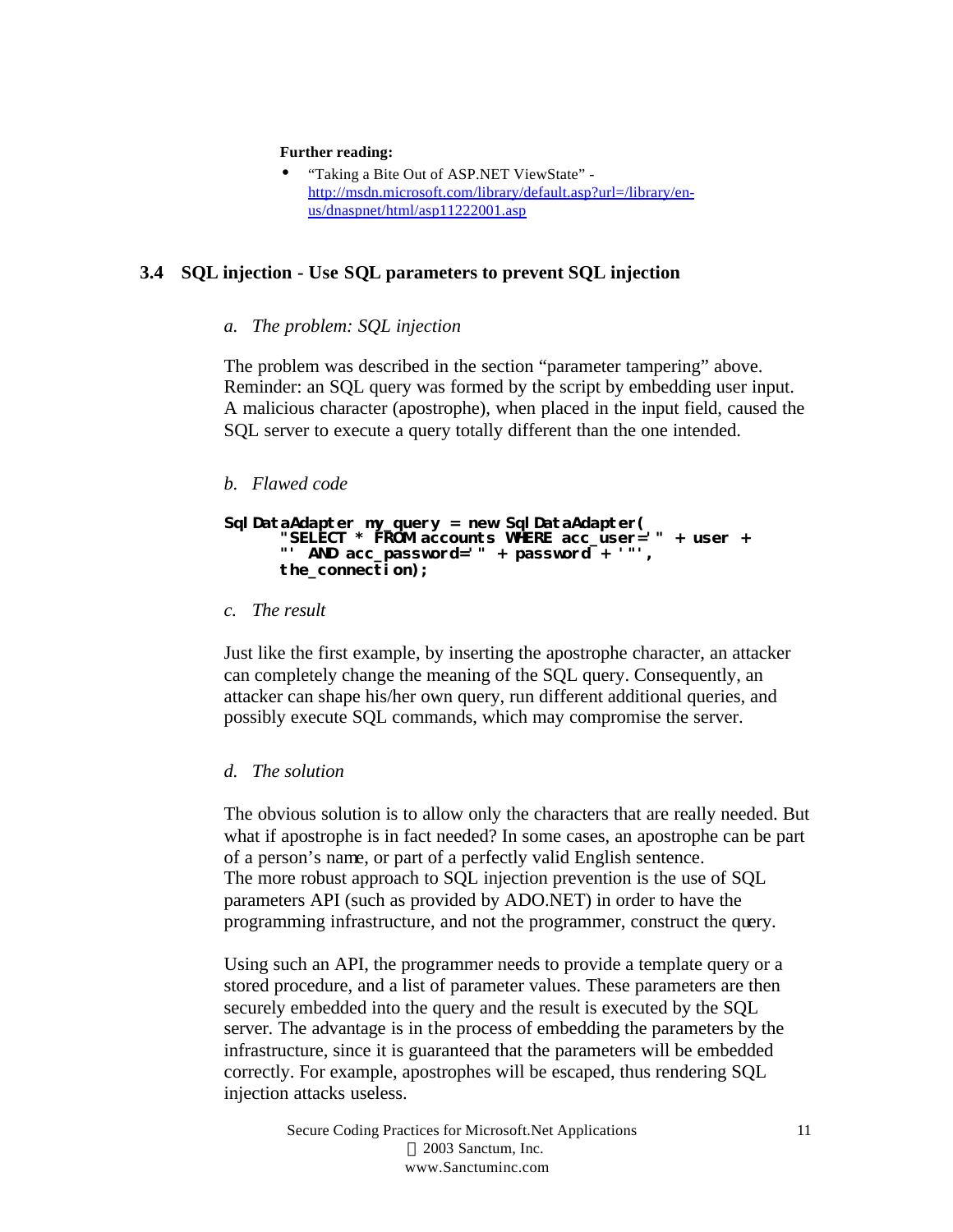#### **Further reading:**

• "Taking a Bite Out of ASP.NET ViewState" http://msdn.microsoft.com/library/default.asp?url=/library/enus/dnaspnet/html/asp11222001.asp

## **3.4 SQL injection - Use SQL parameters to prevent SQL injection**

#### *a. The problem: SQL injection*

The problem was described in the section "parameter tampering" above. Reminder: an SQL query was formed by the script by embedding user input. A malicious character (apostrophe), when placed in the input field, caused the SQL server to execute a query totally different than the one intended.

#### *b. Flawed code*

```
SqlDataAdapter my_query = new SqlDataAdapter(
      "SELECT * FROM accounts WHERE acc_user='" + user + 
      "' AND acc_password='" + password + '"',
      the_connection);
```
#### *c. The result*

Just like the first example, by inserting the apostrophe character, an attacker can completely change the meaning of the SQL query. Consequently, an attacker can shape his/her own query, run different additional queries, and possibly execute SQL commands, which may compromise the server.

#### *d. The solution*

The obvious solution is to allow only the characters that are really needed. But what if apostrophe is in fact needed? In some cases, an apostrophe can be part of a person's name, or part of a perfectly valid English sentence. The more robust approach to SQL injection prevention is the use of SQL parameters API (such as provided by ADO.NET) in order to have the programming infrastructure, and not the programmer, construct the query.

Using such an API, the programmer needs to provide a template query or a stored procedure, and a list of parameter values. These parameters are then securely embedded into the query and the result is executed by the SQL server. The advantage is in the process of embedding the parameters by the infrastructure, since it is guaranteed that the parameters will be embedded correctly. For example, apostrophes will be escaped, thus rendering SQL injection attacks useless.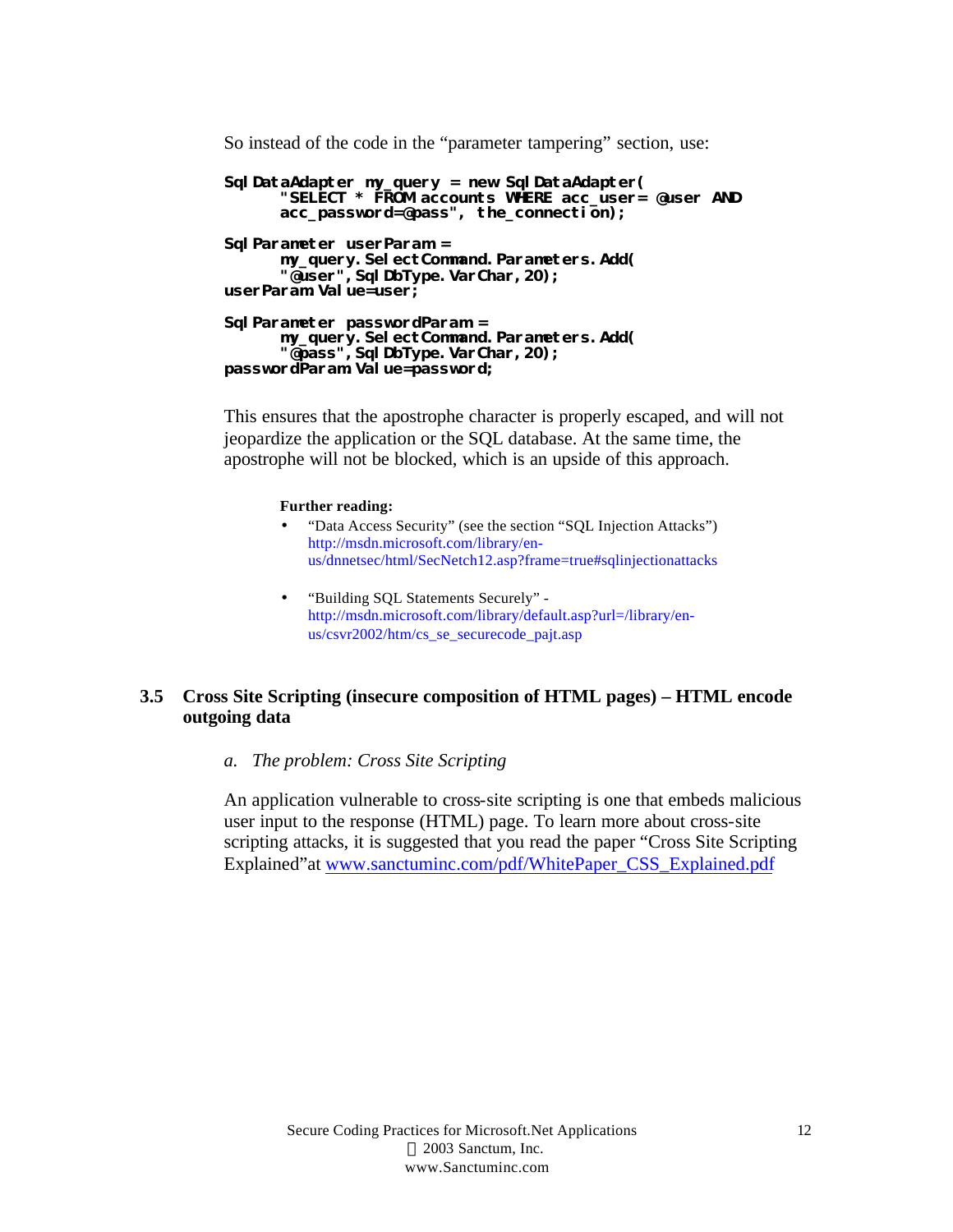So instead of the code in the "parameter tampering" section, use:

```
SqlDataAdapter my_query = new SqlDataAdapter(
      "SELECT * FROM accounts WHERE acc_user= @user AND 
      acc_password=@pass", the_connection);
SqlParameter userParam =
     my_query.SelectCommand.Parameters.Add(
      "@user",SqlDbType.VarChar,20);
userParam.Value=user;
SqlParameter passwordParam =
      my_query.SelectCommand.Parameters.Add(
      "@pass",SqlDbType.VarChar,20);
passwordParam.Value=password;
```
This ensures that the apostrophe character is properly escaped, and will not jeopardize the application or the SQL database. At the same time, the apostrophe will not be blocked, which is an upside of this approach.

#### **Further reading:**

- "Data Access Security" (see the section "SQL Injection Attacks") http://msdn.microsoft.com/library/enus/dnnetsec/html/SecNetch12.asp?frame=true#sqlinjectionattacks
- "Building SQL Statements Securely" http://msdn.microsoft.com/library/default.asp?url=/library/enus/csvr2002/htm/cs\_se\_securecode\_pajt.asp

## **3.5 Cross Site Scripting (insecure composition of HTML pages) – HTML encode outgoing data**

*a. The problem: Cross Site Scripting*

An application vulnerable to cross-site scripting is one that embeds malicious user input to the response (HTML) page. To learn more about cross-site scripting attacks, it is suggested that you read the paper "Cross Site Scripting Explained"at www.sanctuminc.com/pdf/WhitePaper\_CSS\_Explained.pdf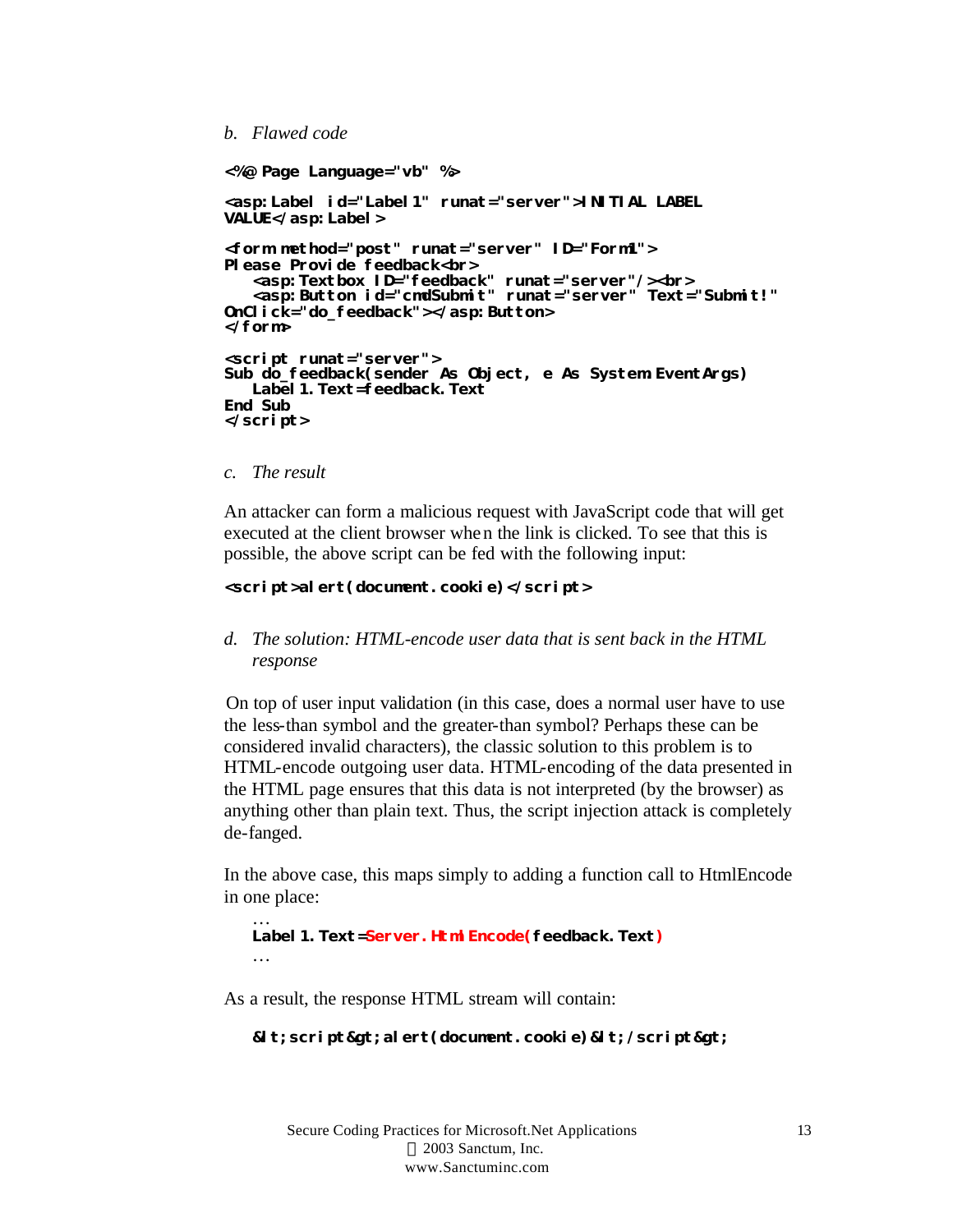## *b. Flawed code*

```
<%@ Page Language="vb" %>
<asp:Label id="Label1" runat="server">INITIAL LABEL 
VALUE</asp:Label>
<form method="post" runat="server" ID="Form1">
Please Provide feedback<br>
   <asp:Textbox ID="feedback" runat="server"/><br>
   <asp:Button id="cmdSubmit" runat="server" Text="Submit!" 
OnClick="do_feedback"></asp:Button>
</form>
<script runat="server">
Sub do_feedback(sender As Object, e As System EventArgs)
   Label1.Text=feedback.Text
End Sub
</script>
```
*c. The result*

…

An attacker can form a malicious request with JavaScript code that will get executed at the client browser when the link is clicked. To see that this is possible, the above script can be fed with the following input:

#### **<script>alert(document.cookie)</script>**

*d. The solution: HTML-encode user data that is sent back in the HTML response*

 On top of user input validation (in this case, does a normal user have to use the less-than symbol and the greater-than symbol? Perhaps these can be considered invalid characters), the classic solution to this problem is to HTML-encode outgoing user data. HTML-encoding of the data presented in the HTML page ensures that this data is not interpreted (by the browser) as anything other than plain text. Thus, the script injection attack is completely de-fanged.

In the above case, this maps simply to adding a function call to HtmlEncode in one place:

## … **Label1.Text=Server.HtmlEncode(feedback.Text)**

As a result, the response HTML stream will contain:

#### $d$ **d**; script> alert(document. cookie) < /script&gt;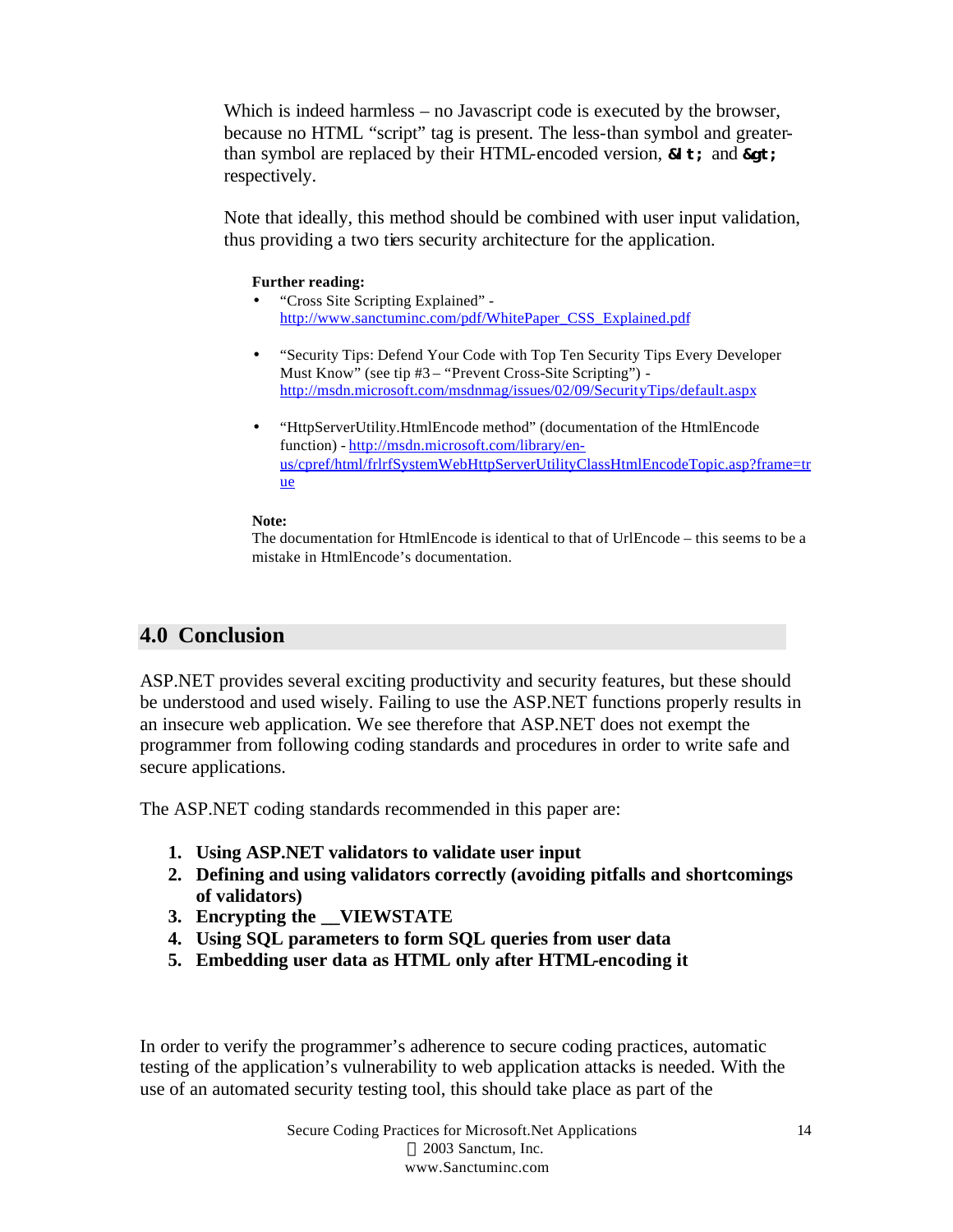Which is indeed harmless – no Javascript code is executed by the browser, because no HTML "script" tag is present. The less-than symbol and greaterthan symbol are replaced by their HTML-encoded version, **&I**t; and **&gt**; respectively.

Note that ideally, this method should be combined with user input validation, thus providing a two tiers security architecture for the application.

## **Further reading:**

- "Cross Site Scripting Explained" http://www.sanctuminc.com/pdf/WhitePaper\_CSS\_Explained.pdf
- "Security Tips: Defend Your Code with Top Ten Security Tips Every Developer Must Know" (see tip #3 – "Prevent Cross-Site Scripting") http://msdn.microsoft.com/msdnmag/issues/02/09/SecurityTips/default.aspx
- "HttpServerUtility.HtmlEncode method" (documentation of the HtmlEncode function) - http://msdn.microsoft.com/library/enus/cpref/html/frlrfSystemWebHttpServerUtilityClassHtmlEncodeTopic.asp?frame=tr ue

## **Note:**

The documentation for HtmlEncode is identical to that of UrlEncode – this seems to be a mistake in HtmlEncode's documentation.

## **4.0 Conclusion**

ASP.NET provides several exciting productivity and security features, but these should be understood and used wisely. Failing to use the ASP.NET functions properly results in an insecure web application. We see therefore that ASP.NET does not exempt the programmer from following coding standards and procedures in order to write safe and secure applications.

The ASP.NET coding standards recommended in this paper are:

- **1. Using ASP.NET validators to validate user input**
- **2. Defining and using validators correctly (avoiding pitfalls and shortcomings of validators)**
- **3. Encrypting the \_\_VIEWSTATE**
- **4. Using SQL parameters to form SQL queries from user data**
- **5. Embedding user data as HTML only after HTML-encoding it**

In order to verify the programmer's adherence to secure coding practices, automatic testing of the application's vulnerability to web application attacks is needed. With the use of an automated security testing tool, this should take place as part of the